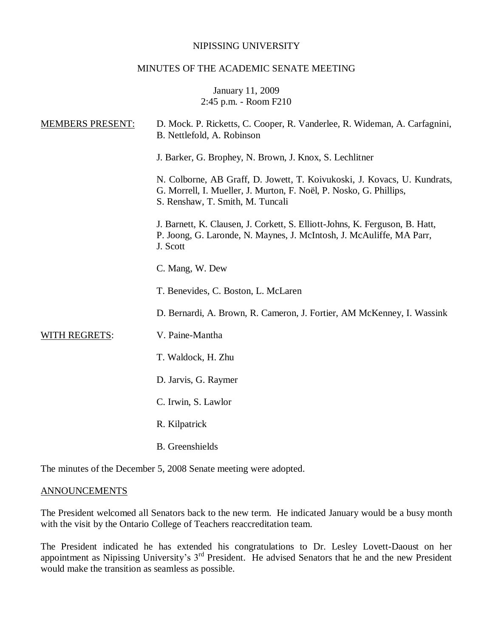### NIPISSING UNIVERSITY

### MINUTES OF THE ACADEMIC SENATE MEETING

# January 11, 2009 2:45 p.m. - Room F210

| <b>MEMBERS PRESENT:</b> | D. Mock. P. Ricketts, C. Cooper, R. Vanderlee, R. Wideman, A. Carfagnini,<br>B. Nettlefold, A. Robinson                                                                            |
|-------------------------|------------------------------------------------------------------------------------------------------------------------------------------------------------------------------------|
|                         | J. Barker, G. Brophey, N. Brown, J. Knox, S. Lechlitner                                                                                                                            |
|                         | N. Colborne, AB Graff, D. Jowett, T. Koivukoski, J. Kovacs, U. Kundrats,<br>G. Morrell, I. Mueller, J. Murton, F. Noël, P. Nosko, G. Phillips,<br>S. Renshaw, T. Smith, M. Tuncali |
|                         | J. Barnett, K. Clausen, J. Corkett, S. Elliott-Johns, K. Ferguson, B. Hatt,<br>P. Joong, G. Laronde, N. Maynes, J. McIntosh, J. McAuliffe, MA Parr,<br>J. Scott                    |
|                         | C. Mang, W. Dew                                                                                                                                                                    |
|                         | T. Benevides, C. Boston, L. McLaren                                                                                                                                                |
|                         | D. Bernardi, A. Brown, R. Cameron, J. Fortier, AM McKenney, I. Wassink                                                                                                             |
| WITH REGRETS:           | V. Paine-Mantha                                                                                                                                                                    |
|                         | T. Waldock, H. Zhu                                                                                                                                                                 |
|                         | D. Jarvis, G. Raymer                                                                                                                                                               |
|                         | C. Irwin, S. Lawlor                                                                                                                                                                |
|                         | R. Kilpatrick                                                                                                                                                                      |
|                         | <b>B.</b> Greenshields                                                                                                                                                             |
|                         |                                                                                                                                                                                    |

The minutes of the December 5, 2008 Senate meeting were adopted.

# **ANNOUNCEMENTS**

The President welcomed all Senators back to the new term. He indicated January would be a busy month with the visit by the Ontario College of Teachers reaccreditation team.

The President indicated he has extended his congratulations to Dr. Lesley Lovett-Daoust on her appointment as Nipissing University's 3rd President. He advised Senators that he and the new President would make the transition as seamless as possible.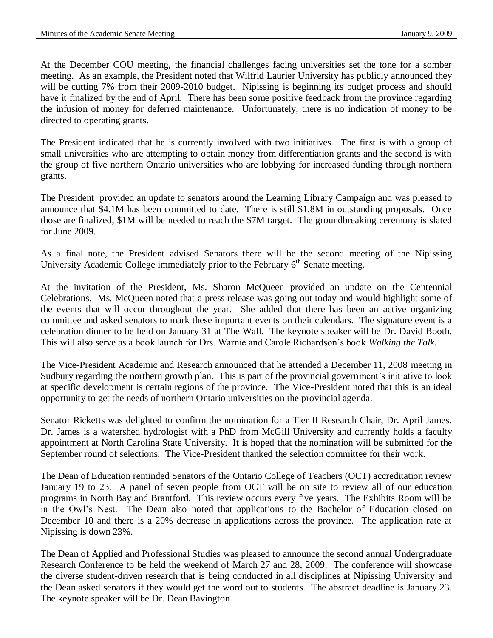At the December COU meeting, the financial challenges facing universities set the tone for a somber meeting. As an example, the President noted that Wilfrid Laurier University has publicly announced they will be cutting 7% from their 2009-2010 budget. Nipissing is beginning its budget process and should have it finalized by the end of April. There has been some positive feedback from the province regarding the infusion of money for deferred maintenance. Unfortunately, there is no indication of money to be directed to operating grants.

The President indicated that he is currently involved with two initiatives. The first is with a group of small universities who are attempting to obtain money from differentiation grants and the second is with the group of five northern Ontario universities who are lobbying for increased funding through northern grants.

The President provided an update to senators around the Learning Library Campaign and was pleased to announce that \$4.1M has been committed to date. There is still \$1.8M in outstanding proposals. Once those are finalized, \$1M will be needed to reach the \$7M target. The groundbreaking ceremony is slated for June 2009.

As a final note, the President advised Senators there will be the second meeting of the Nipissing University Academic College immediately prior to the February 6<sup>th</sup> Senate meeting.

At the invitation of the President, Ms. Sharon McQueen provided an update on the Centennial Celebrations. Ms. McQueen noted that a press release was going out today and would highlight some of the events that will occur throughout the year. She added that there has been an active organizing committee and asked senators to mark these important events on their calendars. The signature event is a celebration dinner to be held on January 31 at The Wall. The keynote speaker will be Dr. David Booth. This will also serve as a book launch for Drs. Warnie and Carole Richardson's book *Walking the Talk.*

The Vice-President Academic and Research announced that he attended a December 11, 2008 meeting in Sudbury regarding the northern growth plan. This is part of the provincial government's initiative to look at specific development is certain regions of the province. The Vice-President noted that this is an ideal opportunity to get the needs of northern Ontario universities on the provincial agenda.

Senator Ricketts was delighted to confirm the nomination for a Tier II Research Chair, Dr. April James. Dr. James is a watershed hydrologist with a PhD from McGill University and currently holds a faculty appointment at North Carolina State University. It is hoped that the nomination will be submitted for the September round of selections. The Vice-President thanked the selection committee for their work.

The Dean of Education reminded Senators of the Ontario College of Teachers (OCT) accreditation review January 19 to 23. A panel of seven people from OCT will be on site to review all of our education programs in North Bay and Brantford. This review occurs every five years. The Exhibits Room will be in the Owl's Nest. The Dean also noted that applications to the Bachelor of Education closed on December 10 and there is a 20% decrease in applications across the province. The application rate at Nipissing is down 23%.

The Dean of Applied and Professional Studies was pleased to announce the second annual Undergraduate Research Conference to be held the weekend of March 27 and 28, 2009. The conference will showcase the diverse student-driven research that is being conducted in all disciplines at Nipissing University and the Dean asked senators if they would get the word out to students. The abstract deadline is January 23. The keynote speaker will be Dr. Dean Bavington.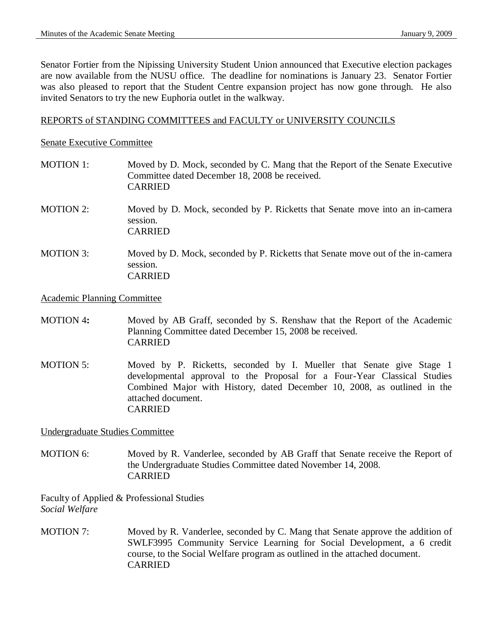Senator Fortier from the Nipissing University Student Union announced that Executive election packages are now available from the NUSU office. The deadline for nominations is January 23. Senator Fortier was also pleased to report that the Student Centre expansion project has now gone through. He also invited Senators to try the new Euphoria outlet in the walkway.

### REPORTS of STANDING COMMITTEES and FACULTY or UNIVERSITY COUNCILS

#### Senate Executive Committee

- MOTION 1: Moved by D. Mock, seconded by C. Mang that the Report of the Senate Executive Committee dated December 18, 2008 be received. CARRIED
- MOTION 2: Moved by D. Mock, seconded by P. Ricketts that Senate move into an in-camera session. CARRIED
- MOTION 3: Moved by D. Mock, seconded by P. Ricketts that Senate move out of the in-camera session. CARRIED

#### Academic Planning Committee

- MOTION 4**:** Moved by AB Graff, seconded by S. Renshaw that the Report of the Academic Planning Committee dated December 15, 2008 be received. CARRIED
- MOTION 5: Moved by P. Ricketts, seconded by I. Mueller that Senate give Stage 1 developmental approval to the Proposal for a Four-Year Classical Studies Combined Major with History, dated December 10, 2008, as outlined in the attached document. CARRIED

Undergraduate Studies Committee

MOTION 6: Moved by R. Vanderlee, seconded by AB Graff that Senate receive the Report of the Undergraduate Studies Committee dated November 14, 2008. CARRIED

Faculty of Applied & Professional Studies *Social Welfare* 

MOTION 7: Moved by R. Vanderlee, seconded by C. Mang that Senate approve the addition of SWLF3995 Community Service Learning for Social Development, a 6 credit course, to the Social Welfare program as outlined in the attached document. CARRIED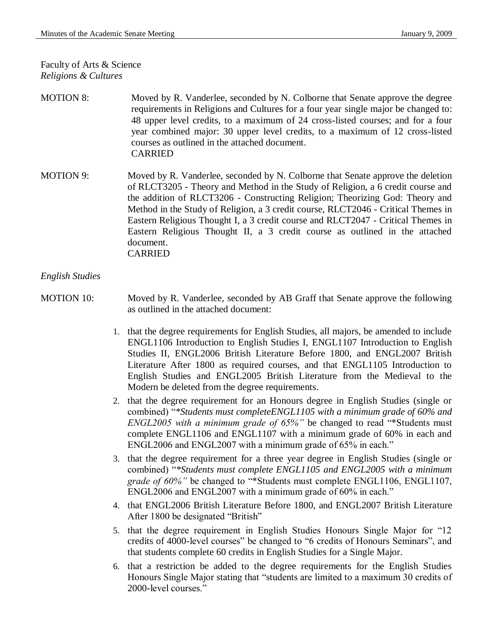Faculty of Arts & Science *Religions & Cultures*

- MOTION 8: Moved by R. Vanderlee, seconded by N. Colborne that Senate approve the degree requirements in Religions and Cultures for a four year single major be changed to: 48 upper level credits, to a maximum of 24 cross-listed courses; and for a four year combined major: 30 upper level credits, to a maximum of 12 cross-listed courses as outlined in the attached document. CARRIED
- MOTION 9: Moved by R. Vanderlee, seconded by N. Colborne that Senate approve the deletion of RLCT3205 - Theory and Method in the Study of Religion, a 6 credit course and the addition of RLCT3206 - Constructing Religion; Theorizing God: Theory and Method in the Study of Religion, a 3 credit course, RLCT2046 - Critical Themes in Eastern Religious Thought I, a 3 credit course and RLCT2047 - Critical Themes in Eastern Religious Thought II, a 3 credit course as outlined in the attached document. CARRIED

### *English Studies*

- MOTION 10: Moved by R. Vanderlee, seconded by AB Graff that Senate approve the following as outlined in the attached document:
	- 1. that the degree requirements for English Studies, all majors, be amended to include ENGL1106 Introduction to English Studies I, ENGL1107 Introduction to English Studies II, ENGL2006 British Literature Before 1800, and ENGL2007 British Literature After 1800 as required courses, and that ENGL1105 Introduction to English Studies and ENGL2005 British Literature from the Medieval to the Modern be deleted from the degree requirements.
	- 2. that the degree requirement for an Honours degree in English Studies (single or combined) "*\*Students must completeENGL1105 with a minimum grade of 60% and ENGL2005 with a minimum grade of 65%"* be changed to read "\*Students must complete ENGL1106 and ENGL1107 with a minimum grade of 60% in each and ENGL2006 and ENGL2007 with a minimum grade of 65% in each."
	- 3. that the degree requirement for a three year degree in English Studies (single or combined) "*\*Students must complete ENGL1105 and ENGL2005 with a minimum grade of 60%"* be changed to "\*Students must complete ENGL1106, ENGL1107, ENGL2006 and ENGL2007 with a minimum grade of 60% in each."
	- 4. that ENGL2006 British Literature Before 1800, and ENGL2007 British Literature After 1800 be designated "British"
	- 5. that the degree requirement in English Studies Honours Single Major for "12 credits of 4000-level courses" be changed to "6 credits of Honours Seminars", and that students complete 60 credits in English Studies for a Single Major.
	- 6. that a restriction be added to the degree requirements for the English Studies Honours Single Major stating that "students are limited to a maximum 30 credits of 2000-level courses."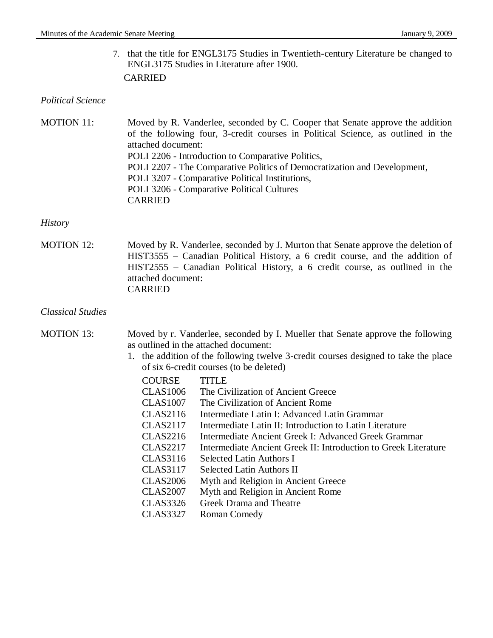7. that the title for ENGL3175 Studies in Twentieth-century Literature be changed to ENGL3175 Studies in Literature after 1900. CARRIED

#### *Political Science*

| <b>MOTION 11:</b>                                                        | Moved by R. Vanderlee, seconded by C. Cooper that Senate approve the addition    |
|--------------------------------------------------------------------------|----------------------------------------------------------------------------------|
|                                                                          | of the following four, 3-credit courses in Political Science, as outlined in the |
|                                                                          | attached document:                                                               |
|                                                                          | POLI 2206 - Introduction to Comparative Politics,                                |
| POLI 2207 - The Comparative Politics of Democratization and Development, |                                                                                  |
|                                                                          | POLI 3207 - Comparative Political Institutions,                                  |
|                                                                          | POLI 3206 - Comparative Political Cultures                                       |
|                                                                          | <b>CARRIED</b>                                                                   |

#### *History*

MOTION 12: Moved by R. Vanderlee, seconded by J. Murton that Senate approve the deletion of HIST3555 – Canadian Political History, a 6 credit course, and the addition of HIST2555 – Canadian Political History, a 6 credit course, as outlined in the attached document: CARRIED

# *Classical Studies*

MOTION 13: Moved by r. Vanderlee, seconded by I. Mueller that Senate approve the following as outlined in the attached document:

- 1. the addition of the following twelve 3-credit courses designed to take the place of six 6-credit courses (to be deleted)
	- COURSE TITLE
	- CLAS1006 The Civilization of Ancient Greece
	- CLAS1007 The Civilization of Ancient Rome
	- CLAS2116 Intermediate Latin I: Advanced Latin Grammar
	- CLAS2117 Intermediate Latin II: Introduction to Latin Literature
	- CLAS2216 Intermediate Ancient Greek I: Advanced Greek Grammar
	- CLAS2217 Intermediate Ancient Greek II: Introduction to Greek Literature
	- CLAS3116 Selected Latin Authors I
	- CLAS3117 Selected Latin Authors II
	- CLAS2006 Myth and Religion in Ancient Greece
	- CLAS2007 Myth and Religion in Ancient Rome
	- CLAS3326 Greek Drama and Theatre
	- CLAS3327 Roman Comedy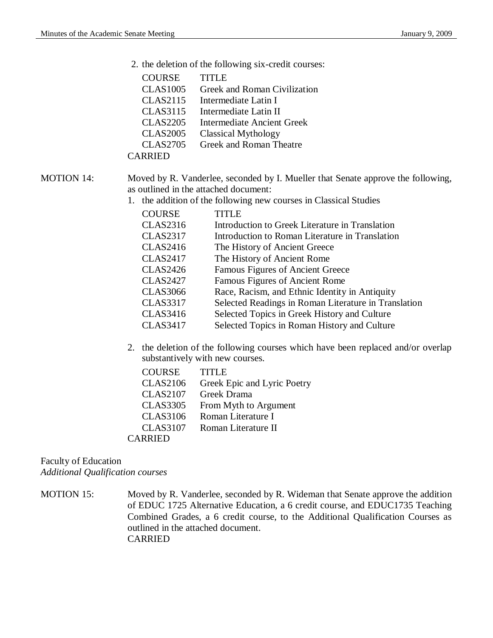- 2. the deletion of the following six-credit courses:
	- COURSE TITLE
	- CLAS1005 Greek and Roman Civilization
	- CLAS2115 Intermediate Latin I
	- CLAS3115 Intermediate Latin II
	- CLAS2205 Intermediate Ancient Greek
	- CLAS2005 Classical Mythology
	- CLAS2705 Greek and Roman Theatre

CARRIED

# MOTION 14: Moved by R. Vanderlee, seconded by I. Mueller that Senate approve the following, as outlined in the attached document:

1. the addition of the following new courses in Classical Studies

| <b>COURSE</b>   | <b>TITLE</b>                                         |
|-----------------|------------------------------------------------------|
| <b>CLAS2316</b> | Introduction to Greek Literature in Translation      |
| <b>CLAS2317</b> | Introduction to Roman Literature in Translation      |
| <b>CLAS2416</b> | The History of Ancient Greece                        |
| <b>CLAS2417</b> | The History of Ancient Rome                          |
| <b>CLAS2426</b> | <b>Famous Figures of Ancient Greece</b>              |
| <b>CLAS2427</b> | Famous Figures of Ancient Rome                       |
| <b>CLAS3066</b> | Race, Racism, and Ethnic Identity in Antiquity       |
| <b>CLAS3317</b> | Selected Readings in Roman Literature in Translation |
| <b>CLAS3416</b> | Selected Topics in Greek History and Culture         |
| <b>CLAS3417</b> | Selected Topics in Roman History and Culture         |

2. the deletion of the following courses which have been replaced and/or overlap substantively with new courses.

| <b>COURSE</b>   | TITLE                       |
|-----------------|-----------------------------|
| <b>CLAS2106</b> | Greek Epic and Lyric Poetry |
| <b>CLAS2107</b> | Greek Drama                 |
| <b>CLAS3305</b> | From Myth to Argument       |
| <b>CLAS3106</b> | Roman Literature I          |
| <b>CLAS3107</b> | Roman Literature II         |
| <b>CARRIED</b>  |                             |

# Faculty of Education *Additional Qualification courses*

MOTION 15: Moved by R. Vanderlee, seconded by R. Wideman that Senate approve the addition of EDUC 1725 Alternative Education, a 6 credit course, and EDUC1735 Teaching Combined Grades, a 6 credit course, to the Additional Qualification Courses as outlined in the attached document. CARRIED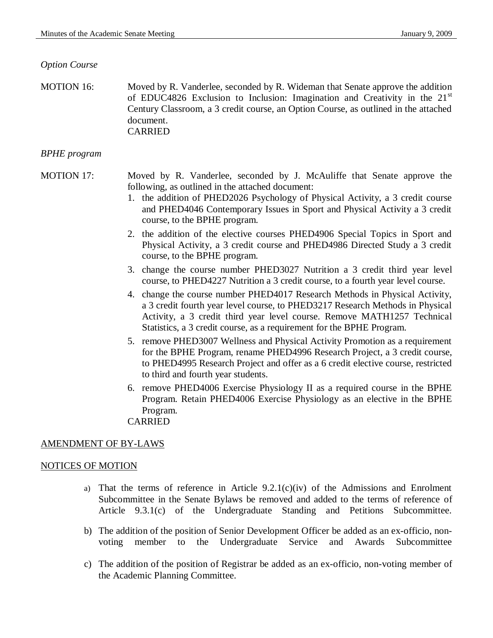### *Option Course*

MOTION 16: Moved by R. Vanderlee, seconded by R. Wideman that Senate approve the addition of EDUC4826 Exclusion to Inclusion: Imagination and Creativity in the 21<sup>st</sup> Century Classroom, a 3 credit course, an Option Course, as outlined in the attached document. CARRIED

### *BPHE program*

# MOTION 17: Moved by R. Vanderlee, seconded by J. McAuliffe that Senate approve the following, as outlined in the attached document:

- 1. the addition of PHED2026 Psychology of Physical Activity, a 3 credit course and PHED4046 Contemporary Issues in Sport and Physical Activity a 3 credit course, to the BPHE program.
- 2. the addition of the elective courses PHED4906 Special Topics in Sport and Physical Activity, a 3 credit course and PHED4986 Directed Study a 3 credit course, to the BPHE program.
- 3. change the course number PHED3027 Nutrition a 3 credit third year level course, to PHED4227 Nutrition a 3 credit course, to a fourth year level course.
- 4. change the course number PHED4017 Research Methods in Physical Activity, a 3 credit fourth year level course, to PHED3217 Research Methods in Physical Activity, a 3 credit third year level course. Remove MATH1257 Technical Statistics, a 3 credit course, as a requirement for the BPHE Program.
- 5. remove PHED3007 Wellness and Physical Activity Promotion as a requirement for the BPHE Program, rename PHED4996 Research Project, a 3 credit course, to PHED4995 Research Project and offer as a 6 credit elective course, restricted to third and fourth year students.
- 6. remove PHED4006 Exercise Physiology II as a required course in the BPHE Program. Retain PHED4006 Exercise Physiology as an elective in the BPHE Program. CARRIED

### AMENDMENT OF BY-LAWS

### NOTICES OF MOTION

- a) That the terms of reference in Article  $9.2.1(c)(iv)$  of the Admissions and Enrolment Subcommittee in the Senate Bylaws be removed and added to the terms of reference of Article 9.3.1(c) of the Undergraduate Standing and Petitions Subcommittee.
- b) The addition of the position of Senior Development Officer be added as an ex-officio, nonvoting member to the Undergraduate Service and Awards Subcommittee
- c) The addition of the position of Registrar be added as an ex-officio, non-voting member of the Academic Planning Committee.